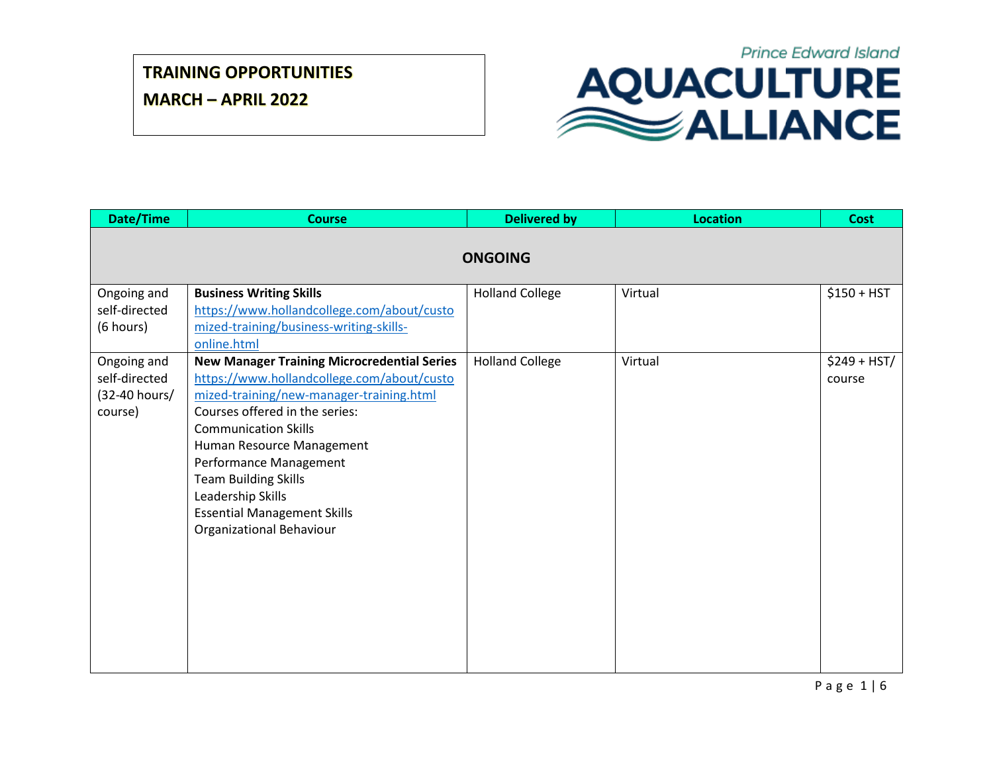**MARCH – APRIL 2022**



| Date/Time                                                | <b>Course</b>                                                                                                                                                                                                                                                                                                                                                                              | <b>Delivered by</b>    | <b>Location</b> | <b>Cost</b>             |  |
|----------------------------------------------------------|--------------------------------------------------------------------------------------------------------------------------------------------------------------------------------------------------------------------------------------------------------------------------------------------------------------------------------------------------------------------------------------------|------------------------|-----------------|-------------------------|--|
| <b>ONGOING</b>                                           |                                                                                                                                                                                                                                                                                                                                                                                            |                        |                 |                         |  |
| Ongoing and<br>self-directed<br>(6 hours)                | <b>Business Writing Skills</b><br>https://www.hollandcollege.com/about/custo<br>mized-training/business-writing-skills-<br>online.html                                                                                                                                                                                                                                                     | <b>Holland College</b> | Virtual         | $$150 + HST$            |  |
| Ongoing and<br>self-directed<br>(32-40 hours/<br>course) | <b>New Manager Training Microcredential Series</b><br>https://www.hollandcollege.com/about/custo<br>mized-training/new-manager-training.html<br>Courses offered in the series:<br><b>Communication Skills</b><br>Human Resource Management<br>Performance Management<br><b>Team Building Skills</b><br>Leadership Skills<br><b>Essential Management Skills</b><br>Organizational Behaviour | <b>Holland College</b> | Virtual         | $$249 + HST/$<br>course |  |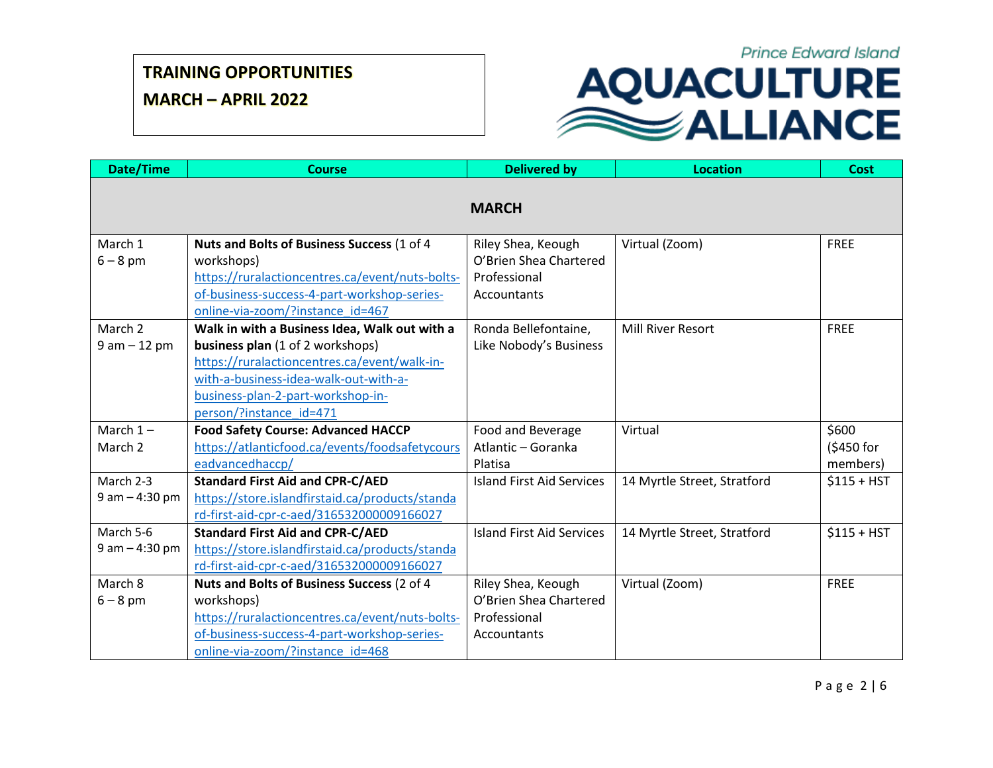**MARCH – APRIL 2022**

| Date/Time             | <b>Course</b>                                                                               | <b>Delivered by</b>                     | <b>Location</b>             | <b>Cost</b>  |
|-----------------------|---------------------------------------------------------------------------------------------|-----------------------------------------|-----------------------------|--------------|
|                       |                                                                                             | <b>MARCH</b>                            |                             |              |
| March 1               | Nuts and Bolts of Business Success (1 of 4                                                  | Riley Shea, Keough                      | Virtual (Zoom)              | <b>FREE</b>  |
| $6 - 8$ pm            | workshops)                                                                                  | O'Brien Shea Chartered                  |                             |              |
|                       | https://ruralactioncentres.ca/event/nuts-bolts-                                             | Professional                            |                             |              |
|                       | of-business-success-4-part-workshop-series-                                                 | Accountants                             |                             |              |
|                       | online-via-zoom/?instance id=467                                                            |                                         |                             |              |
| March 2               | Walk in with a Business Idea, Walk out with a                                               | Ronda Bellefontaine,                    | <b>Mill River Resort</b>    | <b>FREE</b>  |
| $9 am - 12 pm$        | business plan (1 of 2 workshops)                                                            | Like Nobody's Business                  |                             |              |
|                       | https://ruralactioncentres.ca/event/walk-in-                                                |                                         |                             |              |
|                       | with-a-business-idea-walk-out-with-a-                                                       |                                         |                             |              |
|                       | business-plan-2-part-workshop-in-                                                           |                                         |                             |              |
|                       | person/?instance id=471                                                                     |                                         |                             | \$600        |
| March $1-$<br>March 2 | <b>Food Safety Course: Advanced HACCP</b><br>https://atlanticfood.ca/events/foodsafetycours | Food and Beverage<br>Atlantic - Goranka | Virtual                     | (\$450 for   |
|                       | eadvancedhaccp/                                                                             | Platisa                                 |                             | members)     |
| March 2-3             | <b>Standard First Aid and CPR-C/AED</b>                                                     | <b>Island First Aid Services</b>        | 14 Myrtle Street, Stratford | $$115 + HST$ |
| $9$ am $-$ 4:30 pm    | https://store.islandfirstaid.ca/products/standa                                             |                                         |                             |              |
|                       | rd-first-aid-cpr-c-aed/316532000009166027                                                   |                                         |                             |              |
| March 5-6             | <b>Standard First Aid and CPR-C/AED</b>                                                     | <b>Island First Aid Services</b>        | 14 Myrtle Street, Stratford | $$115 + HST$ |
| $9$ am $-$ 4:30 pm    | https://store.islandfirstaid.ca/products/standa                                             |                                         |                             |              |
|                       | rd-first-aid-cpr-c-aed/316532000009166027                                                   |                                         |                             |              |
| March 8               | Nuts and Bolts of Business Success (2 of 4                                                  | Riley Shea, Keough                      | Virtual (Zoom)              | <b>FREE</b>  |
| $6 - 8$ pm            | workshops)                                                                                  | O'Brien Shea Chartered                  |                             |              |
|                       | https://ruralactioncentres.ca/event/nuts-bolts-                                             | Professional                            |                             |              |
|                       | of-business-success-4-part-workshop-series-                                                 | Accountants                             |                             |              |
|                       | online-via-zoom/?instance id=468                                                            |                                         |                             |              |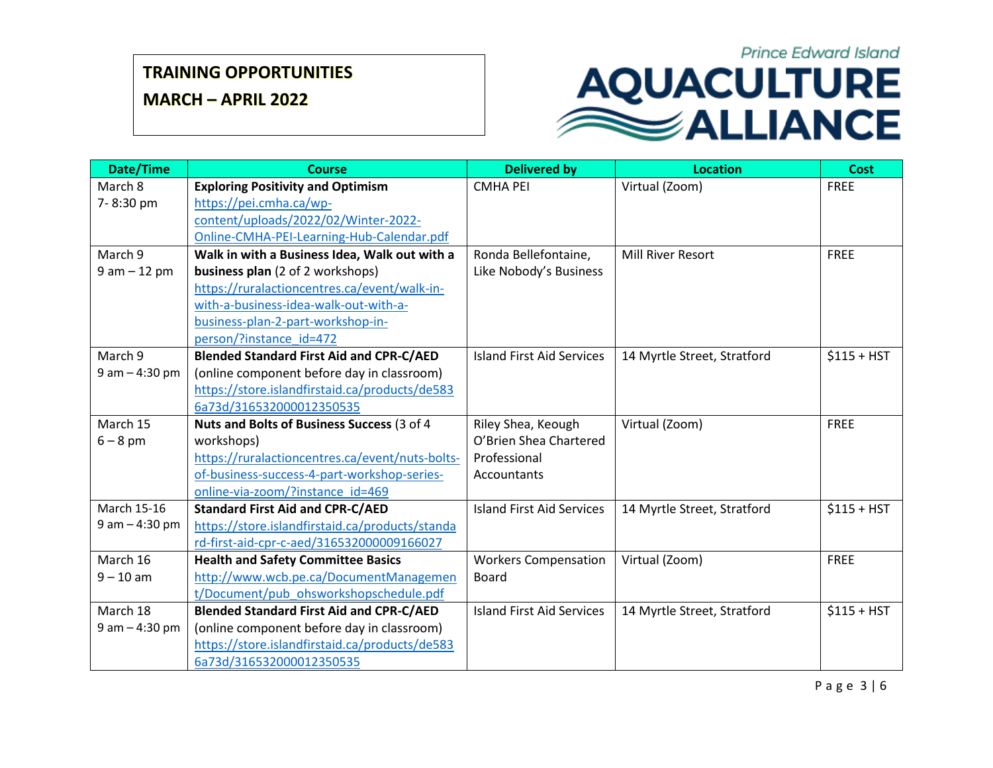**MARCH – APRIL 2022**

## **Prince Edward Island** AQUACULTURE

| <b>Date/Time</b>   | <b>Course</b>                                   | <b>Delivered by</b>              | <b>Location</b>             | <b>Cost</b>  |
|--------------------|-------------------------------------------------|----------------------------------|-----------------------------|--------------|
| March 8            | <b>Exploring Positivity and Optimism</b>        | <b>CMHA PEI</b>                  | Virtual (Zoom)              | <b>FREE</b>  |
| 7-8:30 pm          | https://pei.cmha.ca/wp-                         |                                  |                             |              |
|                    | content/uploads/2022/02/Winter-2022-            |                                  |                             |              |
|                    | Online-CMHA-PEI-Learning-Hub-Calendar.pdf       |                                  |                             |              |
| March 9            | Walk in with a Business Idea, Walk out with a   | Ronda Bellefontaine,             | <b>Mill River Resort</b>    | <b>FREE</b>  |
| $9 am - 12 pm$     | <b>business plan</b> (2 of 2 workshops)         | Like Nobody's Business           |                             |              |
|                    | https://ruralactioncentres.ca/event/walk-in-    |                                  |                             |              |
|                    | with-a-business-idea-walk-out-with-a-           |                                  |                             |              |
|                    | business-plan-2-part-workshop-in-               |                                  |                             |              |
|                    | person/?instance id=472                         |                                  |                             |              |
| March 9            | <b>Blended Standard First Aid and CPR-C/AED</b> | <b>Island First Aid Services</b> | 14 Myrtle Street, Stratford | $$115 + HST$ |
| $9$ am $-$ 4:30 pm | (online component before day in classroom)      |                                  |                             |              |
|                    | https://store.islandfirstaid.ca/products/de583  |                                  |                             |              |
|                    | 6a73d/316532000012350535                        |                                  |                             |              |
| March 15           | Nuts and Bolts of Business Success (3 of 4      | Riley Shea, Keough               | Virtual (Zoom)              | <b>FREE</b>  |
| $6 - 8$ pm         | workshops)                                      | O'Brien Shea Chartered           |                             |              |
|                    | https://ruralactioncentres.ca/event/nuts-bolts- | Professional                     |                             |              |
|                    | of-business-success-4-part-workshop-series-     | Accountants                      |                             |              |
|                    | online-via-zoom/?instance id=469                |                                  |                             |              |
| March 15-16        | <b>Standard First Aid and CPR-C/AED</b>         | <b>Island First Aid Services</b> | 14 Myrtle Street, Stratford | $$115 + HST$ |
| $9$ am $-$ 4:30 pm | https://store.islandfirstaid.ca/products/standa |                                  |                             |              |
|                    | rd-first-aid-cpr-c-aed/316532000009166027       |                                  |                             |              |
| March 16           | <b>Health and Safety Committee Basics</b>       | <b>Workers Compensation</b>      | Virtual (Zoom)              | <b>FREE</b>  |
| $9 - 10$ am        | http://www.wcb.pe.ca/DocumentManagemen          | <b>Board</b>                     |                             |              |
|                    | t/Document/pub ohsworkshopschedule.pdf          |                                  |                             |              |
| March 18           | <b>Blended Standard First Aid and CPR-C/AED</b> | <b>Island First Aid Services</b> | 14 Myrtle Street, Stratford | $$115 + HST$ |
| $9$ am $-$ 4:30 pm | (online component before day in classroom)      |                                  |                             |              |
|                    | https://store.islandfirstaid.ca/products/de583  |                                  |                             |              |
|                    | 6a73d/316532000012350535                        |                                  |                             |              |

P a g e 3 | 6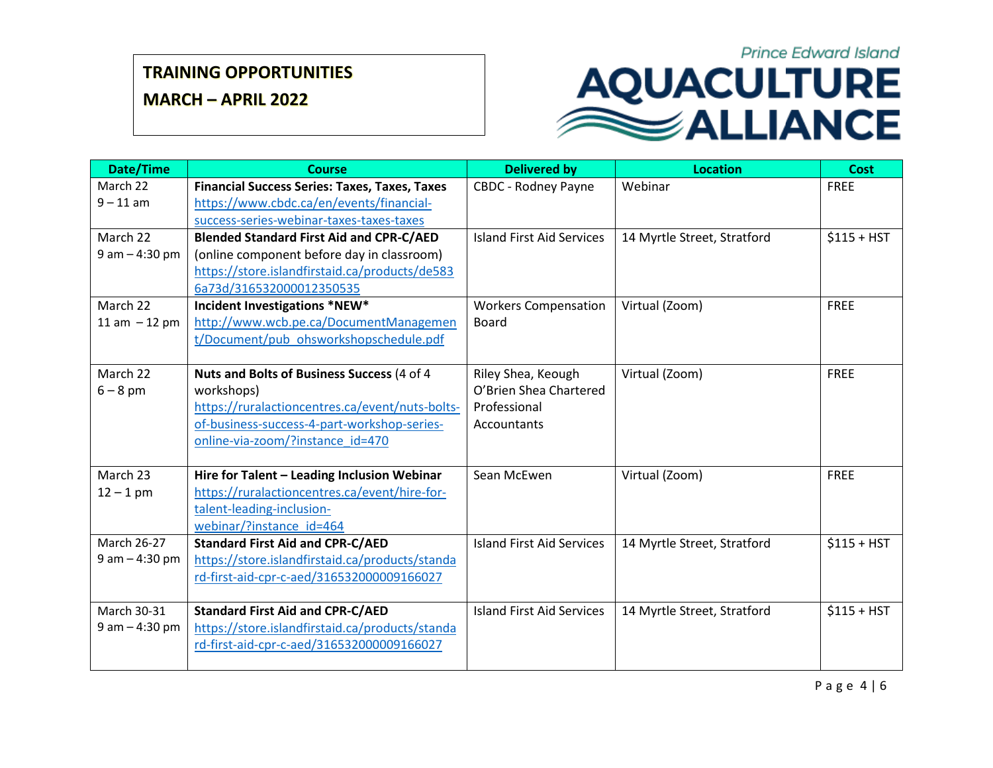**MARCH – APRIL 2022**

| Date/Time          | <b>Course</b>                                        | <b>Delivered by</b>              | <b>Location</b>             | <b>Cost</b>  |
|--------------------|------------------------------------------------------|----------------------------------|-----------------------------|--------------|
| March 22           | <b>Financial Success Series: Taxes, Taxes, Taxes</b> | <b>CBDC - Rodney Payne</b>       | Webinar                     | <b>FREE</b>  |
| $9 - 11$ am        | https://www.cbdc.ca/en/events/financial-             |                                  |                             |              |
|                    | success-series-webinar-taxes-taxes-taxes             |                                  |                             |              |
| March 22           | <b>Blended Standard First Aid and CPR-C/AED</b>      | <b>Island First Aid Services</b> | 14 Myrtle Street, Stratford | $$115 + HST$ |
| $9$ am $-$ 4:30 pm | (online component before day in classroom)           |                                  |                             |              |
|                    | https://store.islandfirstaid.ca/products/de583       |                                  |                             |              |
|                    | 6a73d/316532000012350535                             |                                  |                             |              |
| March 22           | Incident Investigations *NEW*                        | <b>Workers Compensation</b>      | Virtual (Zoom)              | <b>FREE</b>  |
| 11 am $-12$ pm     | http://www.wcb.pe.ca/DocumentManagemen               | <b>Board</b>                     |                             |              |
|                    | t/Document/pub ohsworkshopschedule.pdf               |                                  |                             |              |
|                    |                                                      |                                  |                             |              |
| March 22           | Nuts and Bolts of Business Success (4 of 4           | Riley Shea, Keough               | Virtual (Zoom)              | <b>FREE</b>  |
| $6 - 8$ pm         | workshops)                                           | O'Brien Shea Chartered           |                             |              |
|                    | https://ruralactioncentres.ca/event/nuts-bolts-      | Professional                     |                             |              |
|                    | of-business-success-4-part-workshop-series-          | Accountants                      |                             |              |
|                    | online-via-zoom/?instance_id=470                     |                                  |                             |              |
| March 23           | Hire for Talent - Leading Inclusion Webinar          | Sean McEwen                      | Virtual (Zoom)              | <b>FREE</b>  |
| $12 - 1$ pm        | https://ruralactioncentres.ca/event/hire-for-        |                                  |                             |              |
|                    | talent-leading-inclusion-                            |                                  |                             |              |
|                    | webinar/?instance id=464                             |                                  |                             |              |
| <b>March 26-27</b> | <b>Standard First Aid and CPR-C/AED</b>              | <b>Island First Aid Services</b> | 14 Myrtle Street, Stratford | $$115 + HST$ |
| $9$ am $-$ 4:30 pm | https://store.islandfirstaid.ca/products/standa      |                                  |                             |              |
|                    | rd-first-aid-cpr-c-aed/316532000009166027            |                                  |                             |              |
|                    |                                                      |                                  |                             |              |
| March 30-31        | <b>Standard First Aid and CPR-C/AED</b>              | <b>Island First Aid Services</b> | 14 Myrtle Street, Stratford | $$115 + HST$ |
| $9$ am $-$ 4:30 pm | https://store.islandfirstaid.ca/products/standa      |                                  |                             |              |
|                    | rd-first-aid-cpr-c-aed/316532000009166027            |                                  |                             |              |
|                    |                                                      |                                  |                             |              |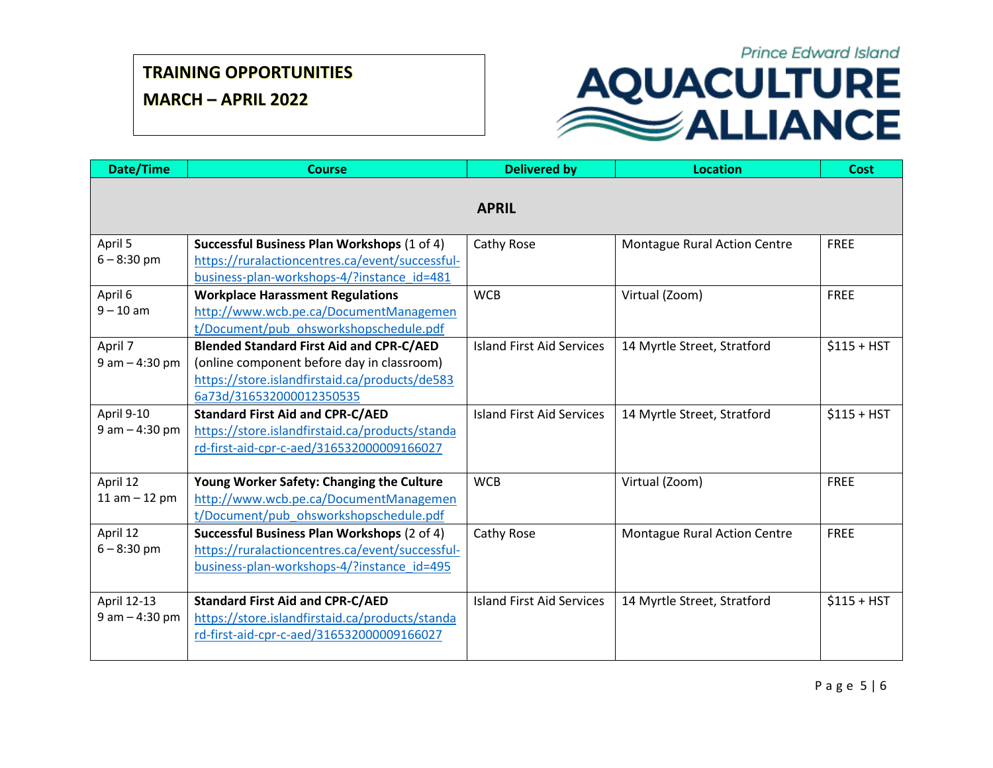**MARCH – APRIL 2022**

| Date/Time                         | <b>Course</b>                                                                                                                                                               | <b>Delivered by</b>              | <b>Location</b>              | Cost         |
|-----------------------------------|-----------------------------------------------------------------------------------------------------------------------------------------------------------------------------|----------------------------------|------------------------------|--------------|
|                                   |                                                                                                                                                                             | <b>APRIL</b>                     |                              |              |
| April 5<br>$6 - 8:30$ pm          | Successful Business Plan Workshops (1 of 4)<br>https://ruralactioncentres.ca/event/successful-                                                                              | Cathy Rose                       | Montague Rural Action Centre | <b>FREE</b>  |
| April 6<br>$9 - 10$ am            | business-plan-workshops-4/?instance id=481<br><b>Workplace Harassment Regulations</b><br>http://www.wcb.pe.ca/DocumentManagemen<br>t/Document/pub ohsworkshopschedule.pdf   | <b>WCB</b>                       | Virtual (Zoom)               | <b>FREE</b>  |
| April 7<br>$9$ am $-$ 4:30 pm     | <b>Blended Standard First Aid and CPR-C/AED</b><br>(online component before day in classroom)<br>https://store.islandfirstaid.ca/products/de583<br>6a73d/316532000012350535 | <b>Island First Aid Services</b> | 14 Myrtle Street, Stratford  | $$115 + HST$ |
| April 9-10<br>$9$ am $-$ 4:30 pm  | <b>Standard First Aid and CPR-C/AED</b><br>https://store.islandfirstaid.ca/products/standa<br>rd-first-aid-cpr-c-aed/316532000009166027                                     | <b>Island First Aid Services</b> | 14 Myrtle Street, Stratford  | $$115 + HST$ |
| April 12<br>$11 am - 12 pm$       | Young Worker Safety: Changing the Culture<br>http://www.wcb.pe.ca/DocumentManagemen<br>t/Document/pub_ohsworkshopschedule.pdf                                               | <b>WCB</b>                       | Virtual (Zoom)               | <b>FREE</b>  |
| April 12<br>$6 - 8:30$ pm         | Successful Business Plan Workshops (2 of 4)<br>https://ruralactioncentres.ca/event/successful-<br>business-plan-workshops-4/?instance id=495                                | Cathy Rose                       | Montague Rural Action Centre | <b>FREE</b>  |
| April 12-13<br>$9$ am $-$ 4:30 pm | <b>Standard First Aid and CPR-C/AED</b><br>https://store.islandfirstaid.ca/products/standa<br>rd-first-aid-cpr-c-aed/316532000009166027                                     | <b>Island First Aid Services</b> | 14 Myrtle Street, Stratford  | $$115 + HST$ |